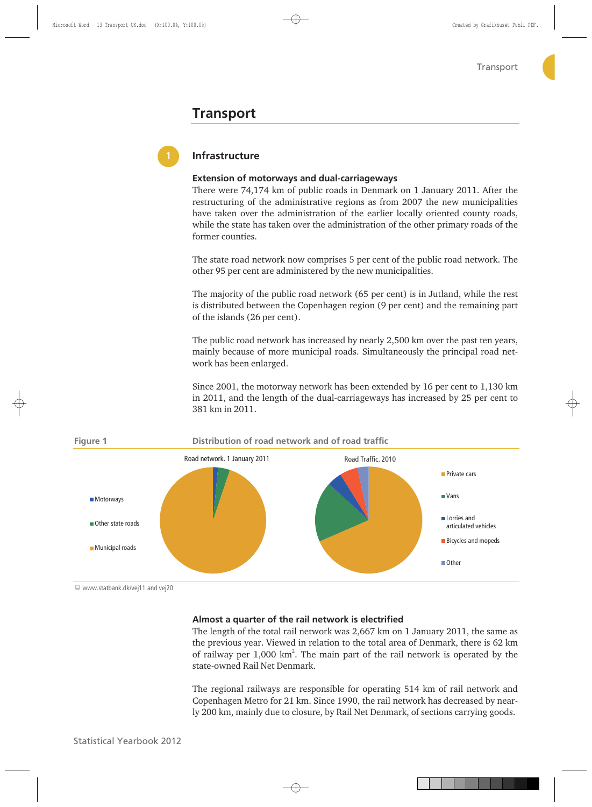# **Transport**



# **Infrastructure**

# **Extension of motorways and dual-carriageways**

There were 74,174 km of public roads in Denmark on 1 January 2011. After the restructuring of the administrative regions as from 2007 the new municipalities have taken over the administration of the earlier locally oriented county roads, while the state has taken over the administration of the other primary roads of the former counties.

The state road network now comprises 5 per cent of the public road network. The other 95 per cent are administered by the new municipalities.

The majority of the public road network (65 per cent) is in Jutland, while the rest is distributed between the Copenhagen region (9 per cent) and the remaining part of the islands (26 per cent).

The public road network has increased by nearly 2,500 km over the past ten years, mainly because of more municipal roads. Simultaneously the principal road network has been enlarged.

Since 2001, the motorway network has been extended by 16 per cent to 1,130 km in 2011, and the length of the dual-carriageways has increased by 25 per cent to 381 km in 2011.



■ www.statbank.dk/vej11 and vej20

## **Almost a quarter of the rail network is electrified**

The length of the total rail network was 2,667 km on 1 January 2011, the same as the previous year. Viewed in relation to the total area of Denmark, there is 62 km of railway per  $1,000 \text{ km}^2$ . The main part of the rail network is operated by the state-owned Rail Net Denmark.

The regional railways are responsible for operating 514 km of rail network and Copenhagen Metro for 21 km. Since 1990, the rail network has decreased by nearly 200 km, mainly due to closure, by Rail Net Denmark, of sections carrying goods.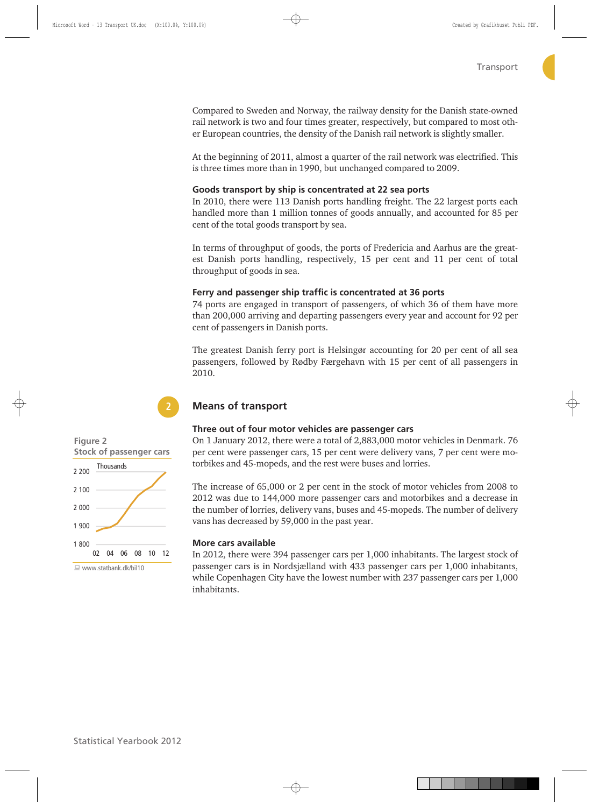Compared to Sweden and Norway, the railway density for the Danish state-owned rail network is two and four times greater, respectively, but compared to most other European countries, the density of the Danish rail network is slightly smaller.

At the beginning of 2011, almost a quarter of the rail network was electrified. This is three times more than in 1990, but unchanged compared to 2009.

## **Goods transport by ship is concentrated at 22 sea ports**

In 2010, there were 113 Danish ports handling freight. The 22 largest ports each handled more than 1 million tonnes of goods annually, and accounted for 85 per cent of the total goods transport by sea.

In terms of throughput of goods, the ports of Fredericia and Aarhus are the greatest Danish ports handling, respectively, 15 per cent and 11 per cent of total throughput of goods in sea.

## **Ferry and passenger ship traffic is concentrated at 36 ports**

74 ports are engaged in transport of passengers, of which 36 of them have more than 200,000 arriving and departing passengers every year and account for 92 per cent of passengers in Danish ports.

The greatest Danish ferry port is Helsingør accounting for 20 per cent of all sea passengers, followed by Rødby Færgehavn with 15 per cent of all passengers in 2010.

# **Means of transport**

## **Three out of four motor vehicles are passenger cars**

On 1 January 2012, there were a total of 2,883,000 motor vehicles in Denmark. 76 per cent were passenger cars, 15 per cent were delivery vans, 7 per cent were motorbikes and 45-mopeds, and the rest were buses and lorries.

The increase of 65,000 or 2 per cent in the stock of motor vehicles from 2008 to 2012 was due to 144,000 more passenger cars and motorbikes and a decrease in the number of lorries, delivery vans, buses and 45-mopeds. The number of delivery vans has decreased by 59,000 in the past year.

# **More cars available**

In 2012, there were 394 passenger cars per 1,000 inhabitants. The largest stock of passenger cars is in Nordsjælland with 433 passenger cars per 1,000 inhabitants, while Copenhagen City have the lowest number with 237 passenger cars per 1,000 inhabitants.



**2**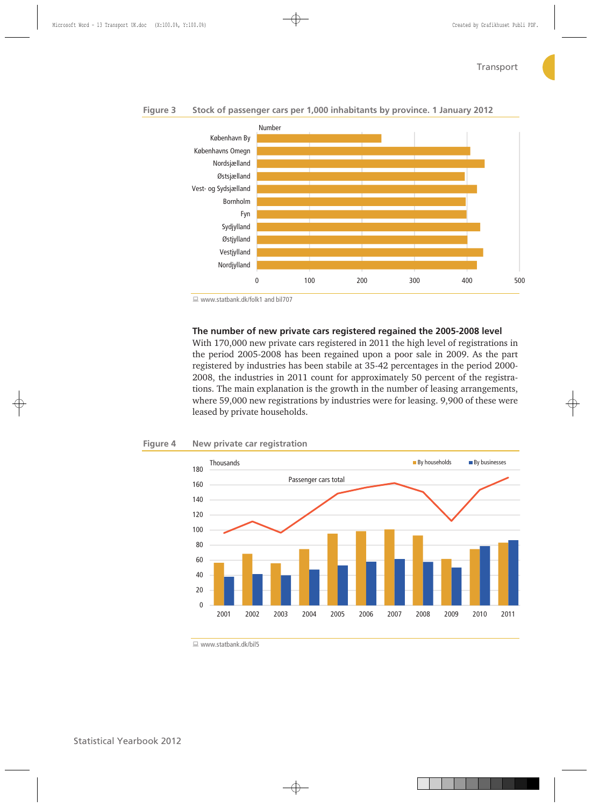



■ www.statbank.dk/folk1 and bil707

## **The number of new private cars registered regained the 2005-2008 level**

With 170,000 new private cars registered in 2011 the high level of registrations in the period 2005-2008 has been regained upon a poor sale in 2009. As the part registered by industries has been stabile at 35-42 percentages in the period 2000- 2008, the industries in 2011 count for approximately 50 percent of the registrations. The main explanation is the growth in the number of leasing arrangements, where 59,000 new registrations by industries were for leasing. 9,900 of these were leased by private households.

#### **Figure 4 New private car registration**



 $\Box$  www.statbank.dk/bil5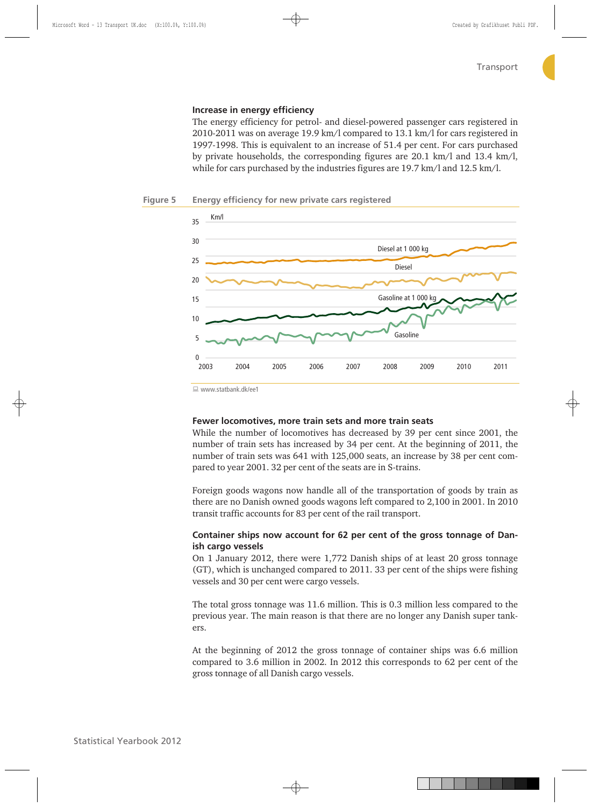# **Increase in energy efficiency**

The energy efficiency for petrol- and diesel-powered passenger cars registered in 2010-2011 was on average 19.9 km/l compared to 13.1 km/l for cars registered in 1997-1998. This is equivalent to an increase of 51.4 per cent. For cars purchased by private households, the corresponding figures are 20.1 km/l and 13.4 km/l, while for cars purchased by the industries figures are 19.7 km/l and 12.5 km/l.





www.statbank.dk/ee1

# **Fewer locomotives, more train sets and more train seats**

While the number of locomotives has decreased by 39 per cent since 2001, the number of train sets has increased by 34 per cent. At the beginning of 2011, the number of train sets was 641 with 125,000 seats, an increase by 38 per cent compared to year 2001. 32 per cent of the seats are in S-trains.

Foreign goods wagons now handle all of the transportation of goods by train as there are no Danish owned goods wagons left compared to 2,100 in 2001. In 2010 transit traffic accounts for 83 per cent of the rail transport.

# **Container ships now account for 62 per cent of the gross tonnage of Danish cargo vessels**

On 1 January 2012, there were 1,772 Danish ships of at least 20 gross tonnage (GT), which is unchanged compared to 2011. 33 per cent of the ships were fishing vessels and 30 per cent were cargo vessels.

The total gross tonnage was 11.6 million. This is 0.3 million less compared to the previous year. The main reason is that there are no longer any Danish super tankers.

At the beginning of 2012 the gross tonnage of container ships was 6.6 million compared to 3.6 million in 2002. In 2012 this corresponds to 62 per cent of the gross tonnage of all Danish cargo vessels.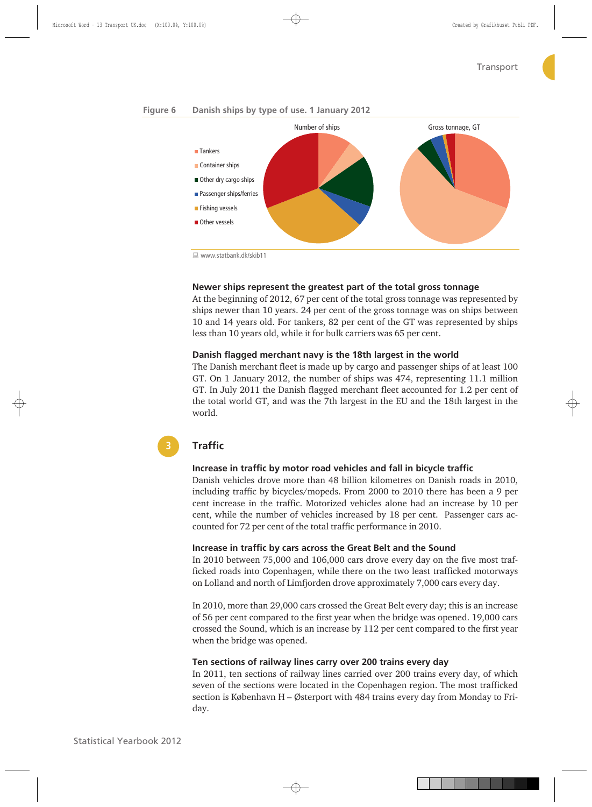# **Figure 6 Danish ships by type of use. 1 January 2012**



 $\Box$  www.stathank.dk/skih11

# **Newer ships represent the greatest part of the total gross tonnage**

At the beginning of 2012, 67 per cent of the total gross tonnage was represented by ships newer than 10 years. 24 per cent of the gross tonnage was on ships between 10 and 14 years old. For tankers, 82 per cent of the GT was represented by ships less than 10 years old, while it for bulk carriers was 65 per cent.

## **Danish flagged merchant navy is the 18th largest in the world**

The Danish merchant fleet is made up by cargo and passenger ships of at least 100 GT. On 1 January 2012, the number of ships was 474, representing 11.1 million GT. In July 2011 the Danish flagged merchant fleet accounted for 1.2 per cent of the total world GT, and was the 7th largest in the EU and the 18th largest in the world.

# **Traffic**

**3**

## **Increase in traffic by motor road vehicles and fall in bicycle traffic**

Danish vehicles drove more than 48 billion kilometres on Danish roads in 2010, including traffic by bicycles/mopeds. From 2000 to 2010 there has been a 9 per cent increase in the traffic. Motorized vehicles alone had an increase by 10 per cent, while the number of vehicles increased by 18 per cent. Passenger cars accounted for 72 per cent of the total traffic performance in 2010.

# **Increase in traffic by cars across the Great Belt and the Sound**

In 2010 between 75,000 and 106,000 cars drove every day on the five most trafficked roads into Copenhagen, while there on the two least trafficked motorways on Lolland and north of Limfjorden drove approximately 7,000 cars every day.

In 2010, more than 29,000 cars crossed the Great Belt every day; this is an increase of 56 per cent compared to the first year when the bridge was opened. 19,000 cars crossed the Sound, which is an increase by 112 per cent compared to the first year when the bridge was opened.

#### **Ten sections of railway lines carry over 200 trains every day**

In 2011, ten sections of railway lines carried over 200 trains every day, of which seven of the sections were located in the Copenhagen region. The most trafficked section is København H – Østerport with 484 trains every day from Monday to Friday.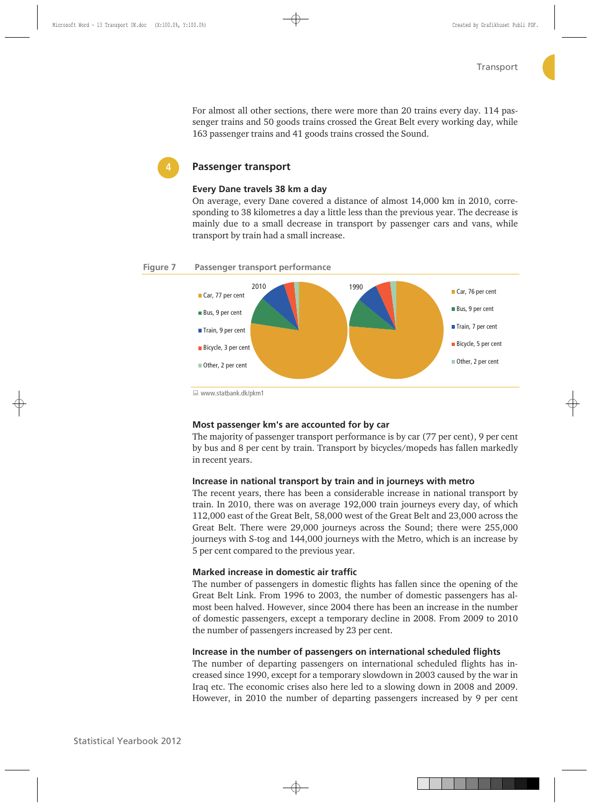For almost all other sections, there were more than 20 trains every day. 114 passenger trains and 50 goods trains crossed the Great Belt every working day, while 163 passenger trains and 41 goods trains crossed the Sound.

# **Passenger transport**

#### **Every Dane travels 38 km a day**

On average, every Dane covered a distance of almost 14,000 km in 2010, corresponding to 38 kilometres a day a little less than the previous year. The decrease is mainly due to a small decrease in transport by passenger cars and vans, while transport by train had a small increase.

#### **Figure 7 Passenger transport performance**



www.statbank.dk/pkm1

# **Most passenger km's are accounted for by car**

The majority of passenger transport performance is by car (77 per cent), 9 per cent by bus and 8 per cent by train. Transport by bicycles/mopeds has fallen markedly in recent years.

### **Increase in national transport by train and in journeys with metro**

The recent years, there has been a considerable increase in national transport by train. In 2010, there was on average 192,000 train journeys every day, of which 112,000 east of the Great Belt, 58,000 west of the Great Belt and 23,000 across the Great Belt. There were 29,000 journeys across the Sound; there were 255,000 journeys with S-tog and 144,000 journeys with the Metro, which is an increase by 5 per cent compared to the previous year.

#### **Marked increase in domestic air traffic**

The number of passengers in domestic flights has fallen since the opening of the Great Belt Link. From 1996 to 2003, the number of domestic passengers has almost been halved. However, since 2004 there has been an increase in the number of domestic passengers, except a temporary decline in 2008. From 2009 to 2010 the number of passengers increased by 23 per cent.

## **Increase in the number of passengers on international scheduled flights**

The number of departing passengers on international scheduled flights has increased since 1990, except for a temporary slowdown in 2003 caused by the war in Iraq etc. The economic crises also here led to a slowing down in 2008 and 2009. However, in 2010 the number of departing passengers increased by 9 per cent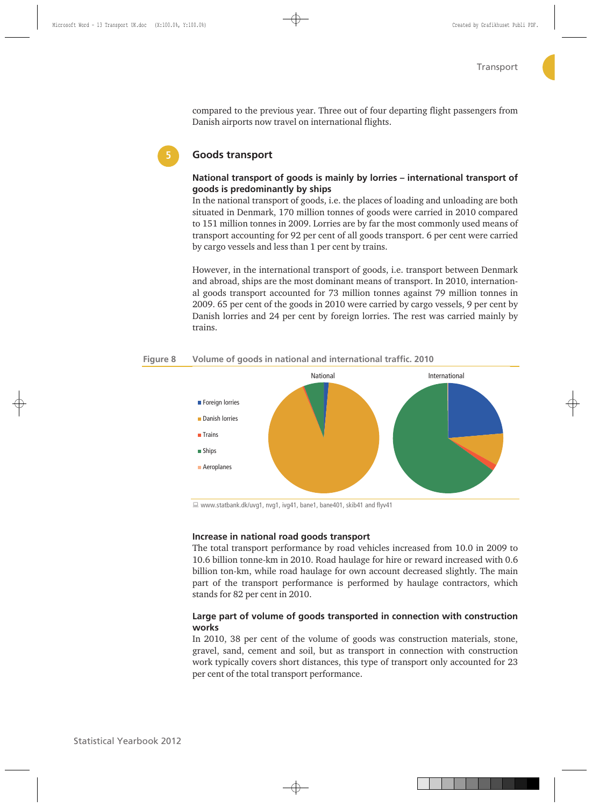compared to the previous year. Three out of four departing flight passengers from Danish airports now travel on international flights.



# **Goods transport**

# **National transport of goods is mainly by lorries – international transport of goods is predominantly by ships**

In the national transport of goods, i.e. the places of loading and unloading are both situated in Denmark, 170 million tonnes of goods were carried in 2010 compared to 151 million tonnes in 2009. Lorries are by far the most commonly used means of transport accounting for 92 per cent of all goods transport. 6 per cent were carried by cargo vessels and less than 1 per cent by trains.

However, in the international transport of goods, i.e. transport between Denmark and abroad, ships are the most dominant means of transport. In 2010, international goods transport accounted for 73 million tonnes against 79 million tonnes in 2009. 65 per cent of the goods in 2010 were carried by cargo vessels, 9 per cent by Danish lorries and 24 per cent by foreign lorries. The rest was carried mainly by trains.



#### **Figure 8 Volume of goods in national and international traffic. 2010**

■ www.statbank.dk/uvg1, nvg1, ivg41, bane1, bane401, skib41 and flyv41

# **Increase in national road goods transport**

The total transport performance by road vehicles increased from 10.0 in 2009 to 10.6 billion tonne-km in 2010. Road haulage for hire or reward increased with 0.6 billion ton-km, while road haulage for own account decreased slightly. The main part of the transport performance is performed by haulage contractors, which stands for 82 per cent in 2010.

# **Large part of volume of goods transported in connection with construction works**

In 2010, 38 per cent of the volume of goods was construction materials, stone, gravel, sand, cement and soil, but as transport in connection with construction work typically covers short distances, this type of transport only accounted for 23 per cent of the total transport performance.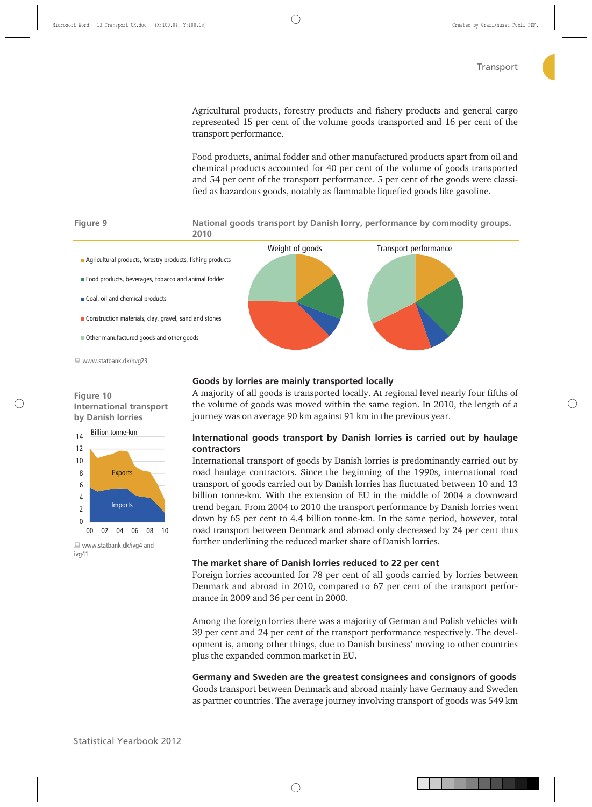Agricultural products, forestry products and fishery products and general cargo represented 15 per cent of the volume goods transported and 16 per cent of the transport performance.

Food products, animal fodder and other manufactured products apart from oil and chemical products accounted for 40 per cent of the volume of goods transported and 54 per cent of the transport performance. 5 per cent of the goods were classified as hazardous goods, notably as flammable liquefied goods like gasoline.



www.statbank.dk/nvg23

# **Figure 10 International transport by Danish lorries**



 www.statbank.dk/ivg4 and ivg41

# **Goods by lorries are mainly transported locally**

A majority of all goods is transported locally. At regional level nearly four fifths of the volume of goods was moved within the same region. In 2010, the length of a journey was on average 90 km against 91 km in the previous year.

# **International goods transport by Danish lorries is carried out by haulage contractors**

International transport of goods by Danish lorries is predominantly carried out by road haulage contractors. Since the beginning of the 1990s, international road transport of goods carried out by Danish lorries has fluctuated between 10 and 13 billion tonne-km. With the extension of EU in the middle of 2004 a downward trend began. From 2004 to 2010 the transport performance by Danish lorries went down by 65 per cent to 4.4 billion tonne-km. In the same period, however, total road transport between Denmark and abroad only decreased by 24 per cent thus further underlining the reduced market share of Danish lorries.

## **The market share of Danish lorries reduced to 22 per cent**

Foreign lorries accounted for 78 per cent of all goods carried by lorries between Denmark and abroad in 2010, compared to 67 per cent of the transport performance in 2009 and 36 per cent in 2000.

Among the foreign lorries there was a majority of German and Polish vehicles with 39 per cent and 24 per cent of the transport performance respectively. The development is, among other things, due to Danish business' moving to other countries plus the expanded common market in EU.

**Germany and Sweden are the greatest consignees and consignors of goods**  Goods transport between Denmark and abroad mainly have Germany and Sweden as partner countries. The average journey involving transport of goods was 549 km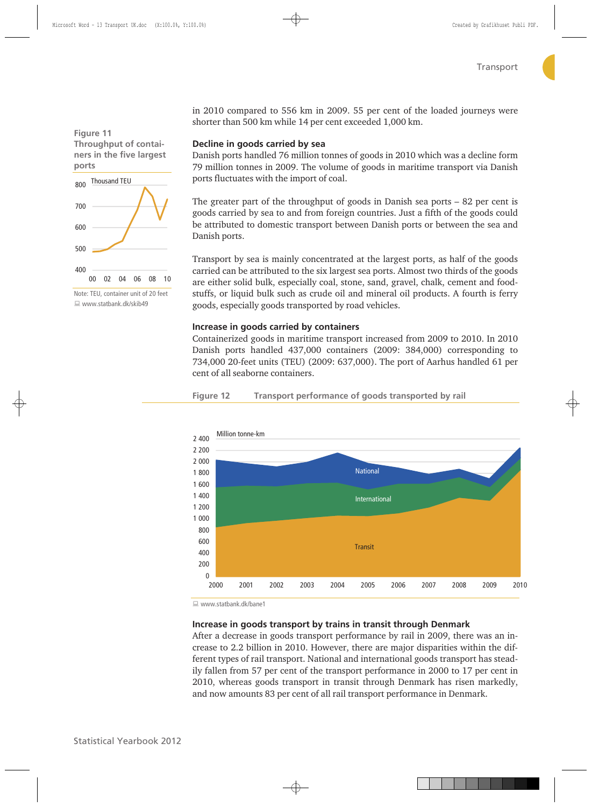**Figure 11 Throughput of containers in the five largest ports** 



Note: TEU, container unit of 20 feet www.statbank.dk/skib49

in 2010 compared to 556 km in 2009. 55 per cent of the loaded journeys were shorter than 500 km while 14 per cent exceeded 1,000 km.

# **Decline in goods carried by sea**

Danish ports handled 76 million tonnes of goods in 2010 which was a decline form 79 million tonnes in 2009. The volume of goods in maritime transport via Danish ports fluctuates with the import of coal.

The greater part of the throughput of goods in Danish sea ports – 82 per cent is goods carried by sea to and from foreign countries. Just a fifth of the goods could be attributed to domestic transport between Danish ports or between the sea and Danish ports.

Transport by sea is mainly concentrated at the largest ports, as half of the goods carried can be attributed to the six largest sea ports. Almost two thirds of the goods are either solid bulk, especially coal, stone, sand, gravel, chalk, cement and foodstuffs, or liquid bulk such as crude oil and mineral oil products. A fourth is ferry goods, especially goods transported by road vehicles.

# **Increase in goods carried by containers**

Containerized goods in maritime transport increased from 2009 to 2010. In 2010 Danish ports handled 437,000 containers (2009: 384,000) corresponding to 734,000 20-feet units (TEU) (2009: 637,000). The port of Aarhus handled 61 per cent of all seaborne containers.





www.statbank.dk/bane1

# **Increase in goods transport by trains in transit through Denmark**

After a decrease in goods transport performance by rail in 2009, there was an increase to 2.2 billion in 2010. However, there are major disparities within the different types of rail transport. National and international goods transport has steadily fallen from 57 per cent of the transport performance in 2000 to 17 per cent in 2010, whereas goods transport in transit through Denmark has risen markedly, and now amounts 83 per cent of all rail transport performance in Denmark.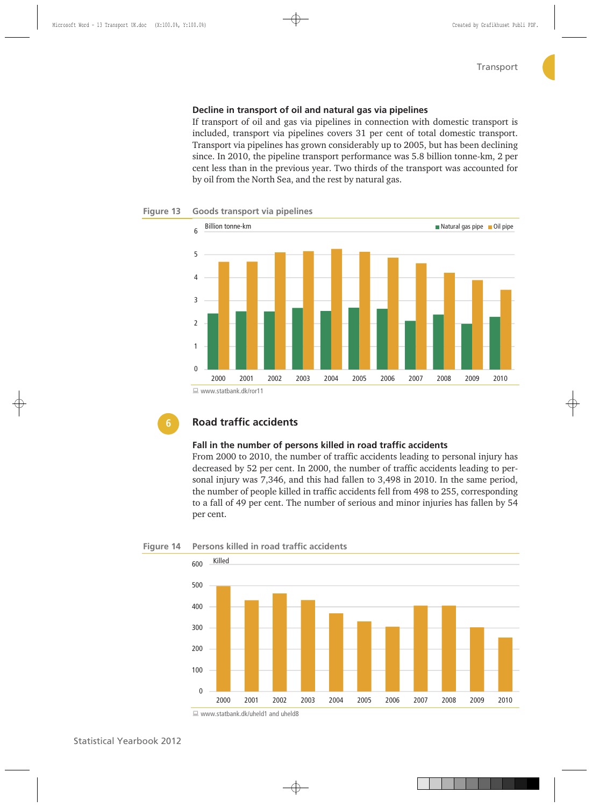# **Decline in transport of oil and natural gas via pipelines**

If transport of oil and gas via pipelines in connection with domestic transport is included, transport via pipelines covers 31 per cent of total domestic transport. Transport via pipelines has grown considerably up to 2005, but has been declining since. In 2010, the pipeline transport performance was 5.8 billion tonne-km, 2 per cent less than in the previous year. Two thirds of the transport was accounted for by oil from the North Sea, and the rest by natural gas.



### **Figure 13 Goods transport via pipelines**

# **Road traffic accidents**

## **Fall in the number of persons killed in road traffic accidents**

From 2000 to 2010, the number of traffic accidents leading to personal injury has decreased by 52 per cent. In 2000, the number of traffic accidents leading to personal injury was 7,346, and this had fallen to 3,498 in 2010. In the same period, the number of people killed in traffic accidents fell from 498 to 255, corresponding to a fall of 49 per cent. The number of serious and minor injuries has fallen by 54 per cent.





<sup>■</sup> www.statbank.dk/uheld1 and uheld8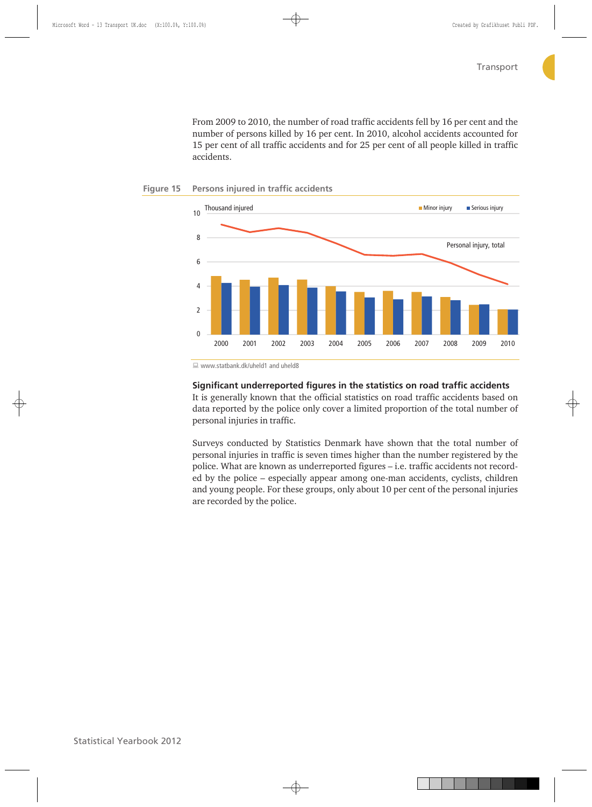From 2009 to 2010, the number of road traffic accidents fell by 16 per cent and the number of persons killed by 16 per cent. In 2010, alcohol accidents accounted for 15 per cent of all traffic accidents and for 25 per cent of all people killed in traffic accidents.



#### **Figure 15 Persons injured in traffic accidents**

■ www.statbank.dk/uheld1 and uheld8

# **Significant underreported figures in the statistics on road traffic accidents**

It is generally known that the official statistics on road traffic accidents based on data reported by the police only cover a limited proportion of the total number of personal injuries in traffic.

Surveys conducted by Statistics Denmark have shown that the total number of personal injuries in traffic is seven times higher than the number registered by the police. What are known as underreported figures – i.e. traffic accidents not recorded by the police – especially appear among one-man accidents, cyclists, children and young people. For these groups, only about 10 per cent of the personal injuries are recorded by the police.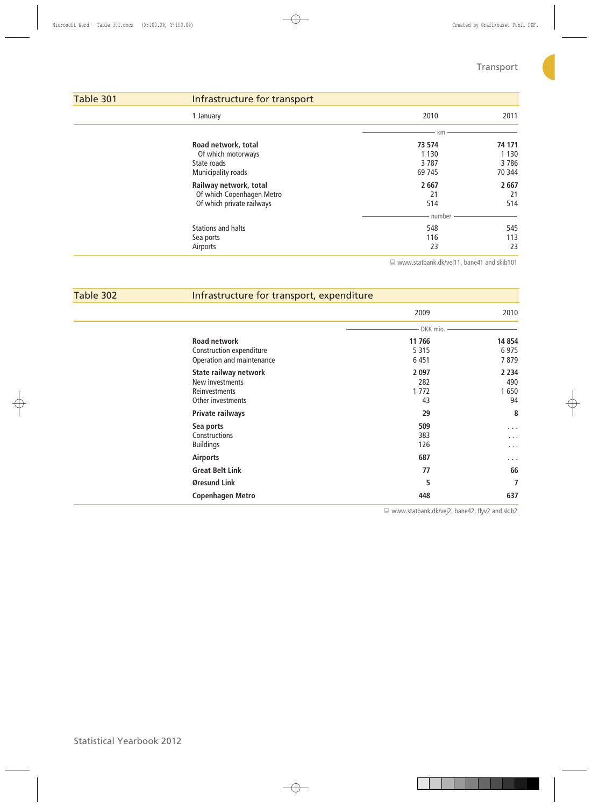C.

| Table 301 | Infrastructure for transport                                                     |                                     |                                     |
|-----------|----------------------------------------------------------------------------------|-------------------------------------|-------------------------------------|
|           | 1 January                                                                        | 2010                                | 2011                                |
|           |                                                                                  | km                                  |                                     |
|           | Road network, total<br>Of which motorways<br>State roads<br>Municipality roads   | 73 574<br>1 1 3 0<br>3787<br>69 745 | 74 171<br>1 1 3 0<br>3786<br>70 344 |
|           | Railway network, total<br>Of which Copenhagen Metro<br>Of which private railways | 2667<br>21<br>514<br>number         | 2 6 67<br>21<br>514                 |
|           | <b>Stations and halts</b><br>Sea ports<br>Airports                               | 548<br>116<br>23                    | 545<br>113<br>23                    |

www.statbank.dk/vej11, bane41 and skib101

| Table 302 | Infrastructure for transport, expenditure |            |                      |  |  |
|-----------|-------------------------------------------|------------|----------------------|--|--|
|           |                                           | 2009       | 2010                 |  |  |
|           |                                           | DKK mio. - |                      |  |  |
|           | <b>Road network</b>                       | 11 766     | 14 8 54              |  |  |
|           | Construction expenditure                  | 5 3 1 5    | 6975                 |  |  |
|           | Operation and maintenance                 | 6451       | 7879                 |  |  |
|           | State railway network                     | 2 0 9 7    | 2 2 3 4              |  |  |
|           | New investments                           | 282        | 490                  |  |  |
|           | Reinvestments                             | 1772       | 1650                 |  |  |
|           | Other investments                         | 43         | 94                   |  |  |
|           | Private railways                          | 29         | 8                    |  |  |
|           | Sea ports                                 | 509        | $\sim$ $\sim$ $\sim$ |  |  |
|           | Constructions                             | 383        | .                    |  |  |
|           | <b>Buildings</b>                          | 126        | .                    |  |  |
|           | <b>Airports</b>                           | 687        | $\sim$ $\sim$ $\sim$ |  |  |
|           | <b>Great Belt Link</b>                    | 77         | 66                   |  |  |
|           | Øresund Link                              | 5          | 7                    |  |  |
|           | <b>Copenhagen Metro</b>                   | 448        | 637                  |  |  |

www.statbank.dk/vej2, bane42, flyv2 and skib2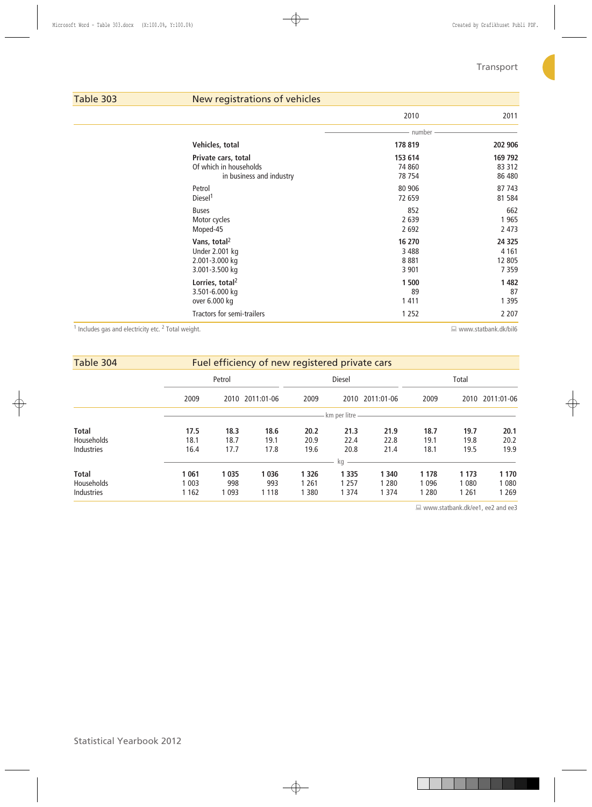# Table 303 New registrations of vehicles

|                                   | 2010    | 2011    |
|-----------------------------------|---------|---------|
|                                   | number  |         |
| Vehicles, total                   | 178 819 | 202 906 |
| Private cars, total               | 153 614 | 169 792 |
| Of which in households            | 74 860  | 83 312  |
| in business and industry          | 78 754  | 86 480  |
| Petrol                            | 80 906  | 87 743  |
| Diesel <sup>1</sup>               | 72 659  | 81 5 84 |
| <b>Buses</b>                      | 852     | 662     |
| Motor cycles                      | 2 6 3 9 | 1965    |
| Moped-45                          | 2 6 9 2 | 2 4 7 3 |
| Vans, total <sup>2</sup>          | 16 270  | 24 3 25 |
| <b>Under 2.001 kg</b>             | 3 4 8 8 | 4 1 6 1 |
| 2.001-3.000 kg                    | 8881    | 12 805  |
| 3.001-3.500 kg                    | 3 9 0 1 | 7359    |
| Lorries, total <sup>2</sup>       | 1 500   | 1482    |
| 3.501-6.000 kg                    | 89      | 87      |
| over 6.000 kg                     | 1411    | 1 3 9 5 |
| <b>Tractors for semi-trailers</b> | 1 2 5 2 | 2 2 0 7 |

<sup>1</sup> Includes gas and electricity etc. <sup>2</sup>

 $\Box$  www.statbank.dk/bil6

| Table 304         |         |         | Fuel efficiency of new registered private cars |         |               |            |         |         |            |
|-------------------|---------|---------|------------------------------------------------|---------|---------------|------------|---------|---------|------------|
|                   |         | Petrol  |                                                |         | <b>Diesel</b> |            |         | Total   |            |
|                   | 2009    |         | 2010 2011:01-06                                | 2009    | 2010          | 2011:01-06 | 2009    | 2010    | 2011:01-06 |
|                   |         |         |                                                |         | km per litre  |            |         |         |            |
| <b>Total</b>      | 17.5    | 18.3    | 18.6                                           | 20.2    | 21.3          | 21.9       | 18.7    | 19.7    | 20.1       |
| Households        | 18.1    | 18.7    | 19.1                                           | 20.9    | 22.4          | 22.8       | 19.1    | 19.8    | 20.2       |
| <b>Industries</b> | 16.4    | 17.7    | 17.8                                           | 19.6    | 20.8          | 21.4       | 18.1    | 19.5    | 19.9       |
|                   |         |         |                                                |         | kg            |            |         |         |            |
| <b>Total</b>      | 1 0 6 1 | 1 0 3 5 | 1 0 3 6                                        | 1 3 2 6 | 1 3 3 5       | 1 3 4 0    | 1 1 7 8 | 1 1 7 3 | 1 1 7 0    |
| Households        | 1 003   | 998     | 993                                            | 1 261   | 1 2 5 7       | 1 2 8 0    | 1096    | 1 0 8 0 | 1080       |
| <b>Industries</b> | 1 1 6 2 | 1 0 9 3 | 1 1 1 8                                        | 380     | 1 3 7 4       | 1 3 7 4    | 1 2 8 0 | 1 2 6 1 | 1 2 6 9    |

www.statbank.dk/ee1, ee2 and ee3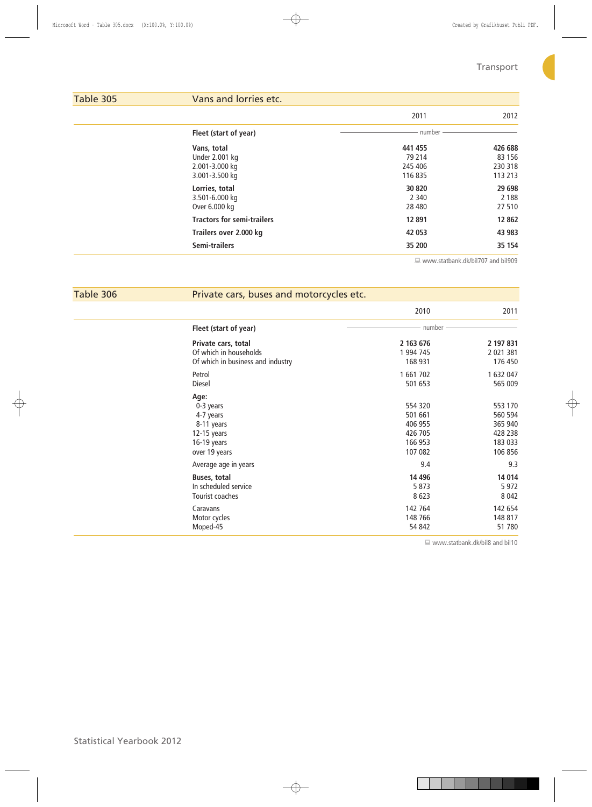| Table 305 | Vans and lorries etc.                           |                              |                              |
|-----------|-------------------------------------------------|------------------------------|------------------------------|
|           |                                                 | 2011                         | 2012                         |
|           | Fleet (start of year)                           | number                       |                              |
|           | Vans, total<br>Under 2.001 kg<br>2.001-3.000 kg | 441 455<br>79 214<br>245 406 | 426 688<br>83 156<br>230 318 |
|           | 3.001-3.500 kg<br>Lorries, total                | 116 835<br>30 820            | 113 213<br>29 6 98           |
|           | 3.501-6.000 kg<br>Over 6.000 kg                 | 2 3 4 0<br>28 4 80           | 2 1 8 8<br>27510             |
|           | <b>Tractors for semi-trailers</b>               | 12 891                       | 12 8 62                      |
|           | Trailers over 2.000 kg                          | 42 053                       | 43 983                       |
|           | Semi-trailers                                   | 35 200                       | 35 154                       |

www.statbank.dk/bil707 and bil909

| Table 306 | Private cars, buses and motorcycles etc.                                                    |                                                                |                                                                |  |  |
|-----------|---------------------------------------------------------------------------------------------|----------------------------------------------------------------|----------------------------------------------------------------|--|--|
|           |                                                                                             | 2010                                                           | 2011                                                           |  |  |
|           | Fleet (start of year)                                                                       | number                                                         |                                                                |  |  |
|           | Private cars, total                                                                         | 2 163 676                                                      | 2 197 831                                                      |  |  |
|           | Of which in households                                                                      | 1 994 745                                                      | 2 021 381                                                      |  |  |
|           | Of which in business and industry                                                           | 168 931                                                        | 176 450                                                        |  |  |
|           | Petrol                                                                                      | 1 661 702                                                      | 1 632 047                                                      |  |  |
|           | Diesel                                                                                      | 501 653                                                        | 565 009                                                        |  |  |
|           | Age:<br>0-3 years<br>4-7 years<br>8-11 years<br>12-15 years<br>16-19 years<br>over 19 years | 554 320<br>501 661<br>406 955<br>426 705<br>166 953<br>107 082 | 553 170<br>560 594<br>365 940<br>428 238<br>183 033<br>106 856 |  |  |
|           | Average age in years                                                                        | 9.4                                                            | 9.3                                                            |  |  |
|           | <b>Buses, total</b>                                                                         | 14 4 96                                                        | 14 014                                                         |  |  |
|           | In scheduled service                                                                        | 5 8 7 3                                                        | 5 9 7 2                                                        |  |  |
|           | Tourist coaches                                                                             | 8623                                                           | 8 0 4 2                                                        |  |  |
|           | Caravans                                                                                    | 142 764                                                        | 142 654                                                        |  |  |
|           | Motor cycles                                                                                | 148 766                                                        | 148 817                                                        |  |  |
|           | Moped-45                                                                                    | 54 842                                                         | 51 780                                                         |  |  |

www.statbank.dk/bil8 and bil10

 $\overline{\phantom{a}}$ 

 $\overline{\phantom{0}}$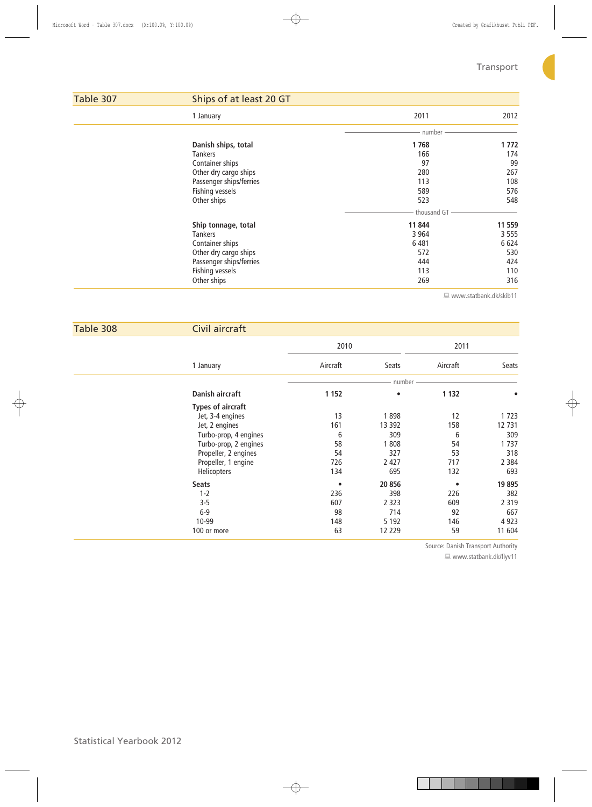C.

| Table 307 | Ships of at least 20 GT |             |         |  |  |
|-----------|-------------------------|-------------|---------|--|--|
|           | 1 January               | 2011        | 2012    |  |  |
|           |                         | number      |         |  |  |
|           | Danish ships, total     | 1768        | 1 7 7 2 |  |  |
|           | <b>Tankers</b>          | 166         | 174     |  |  |
|           | Container ships         | 97          | 99      |  |  |
|           | Other dry cargo ships   | 280         | 267     |  |  |
|           | Passenger ships/ferries | 113         | 108     |  |  |
|           | Fishing vessels         | 589         | 576     |  |  |
|           | Other ships             | 523         | 548     |  |  |
|           |                         | thousand GT |         |  |  |
|           | Ship tonnage, total     | 11 844      | 11 559  |  |  |
|           | <b>Tankers</b>          | 3 9 6 4     | 3 5 5 5 |  |  |
|           | Container ships         | 6481        | 6 6 2 4 |  |  |
|           | Other dry cargo ships   | 572         | 530     |  |  |
|           | Passenger ships/ferries | 444         | 424     |  |  |
|           | Fishing vessels         | 113         | 110     |  |  |
|           | Other ships             | 269         | 316     |  |  |

www.statbank.dk/skib11

| Table 308 | Civil aircraft           |           |           |           |         |
|-----------|--------------------------|-----------|-----------|-----------|---------|
|           |                          | 2010      |           | 2011      |         |
|           | 1 January                | Aircraft  | Seats     | Aircraft  | Seats   |
|           |                          |           | number    |           |         |
|           | Danish aircraft          | 1 1 5 2   | $\bullet$ | 1 1 3 2   |         |
|           | <b>Types of aircraft</b> |           |           |           |         |
|           | Jet, 3-4 engines         | 13        | 1898      | 12        | 1723    |
|           | Jet, 2 engines           | 161       | 13 3 9 2  | 158       | 12 731  |
|           | Turbo-prop, 4 engines    | 6         | 309       | 6         | 309     |
|           | Turbo-prop, 2 engines    | 58        | 1808      | 54        | 1737    |
|           | Propeller, 2 engines     | 54        | 327       | 53        | 318     |
|           | Propeller, 1 engine      | 726       | 2 4 2 7   | 717       | 2 3 8 4 |
|           | Helicopters              | 134       | 695       | 132       | 693     |
|           | <b>Seats</b>             | $\bullet$ | 20 856    | $\bullet$ | 19895   |
|           | $1 - 2$                  | 236       | 398       | 226       | 382     |
|           | $3 - 5$                  | 607       | 2 3 2 3   | 609       | 2 3 1 9 |
|           | $6-9$                    | 98        | 714       | 92        | 667     |
|           | 10-99                    | 148       | 5 1 9 2   | 146       | 4 9 23  |
|           | 100 or more              | 63        | 12 2 2 9  | 59        | 11 604  |

Source: Danish Transport Authority

■ www.statbank.dk/flyv11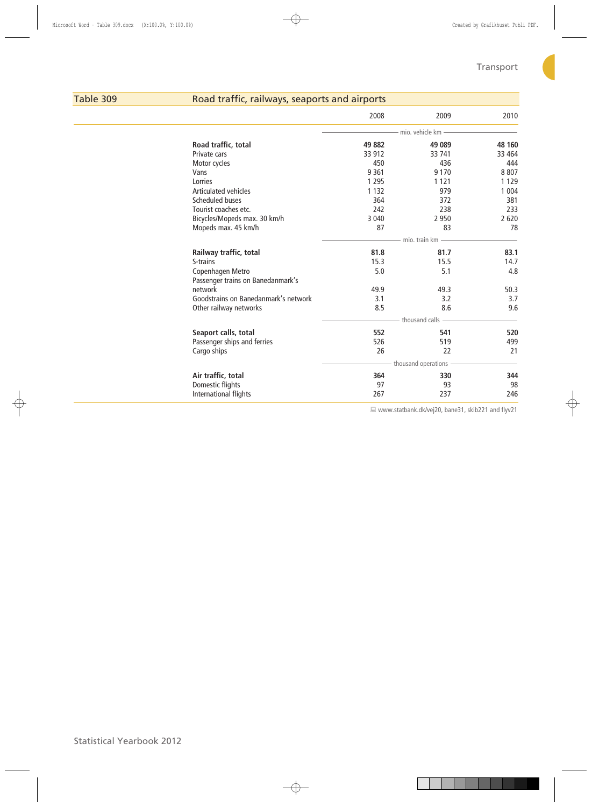# Table 309 Road traffic, railways, seaports and airports

|                                      | 49 882        | mio, vehicle km     |         |
|--------------------------------------|---------------|---------------------|---------|
|                                      |               |                     |         |
| Road traffic, total                  |               | 49 089              | 48 160  |
| Private cars                         | 33 912        | 33 741              | 33 4 64 |
| Motor cycles                         | 450           | 436                 | 444     |
| Vans                                 | 9 3 6 1       | 9 1 7 0             | 8807    |
| Lorries                              | 1 2 9 5       | 1 1 2 1             | 1 1 2 9 |
| <b>Articulated vehicles</b>          | 1 1 3 2       | 979                 | 1 0 0 4 |
| Scheduled buses                      | 364           | 372                 | 381     |
| Tourist coaches etc.                 | 242           | 238                 | 233     |
| Bicycles/Mopeds max. 30 km/h         | 3 0 4 0       | 2 9 5 0             | 2 6 2 0 |
| Mopeds max. 45 km/h                  | 87            | 83                  | 78      |
|                                      | mio, train km |                     |         |
| Railway traffic, total               | 81.8          | 81.7                | 83.1    |
| S-trains                             | 15.3          | 15.5                | 14.7    |
| Copenhagen Metro                     | 5.0           | 5.1                 | 4.8     |
| Passenger trains on Banedanmark's    |               |                     |         |
| network                              | 49.9          | 49.3                | 50.3    |
| Goodstrains on Banedanmark's network | 3.1           | 3.2                 | 3.7     |
| Other railway networks               | 8.5           | 8.6                 | 9.6     |
|                                      |               | thousand calls      |         |
| Seaport calls, total                 | 552           | 541                 | 520     |
| Passenger ships and ferries          | 526           | 519                 | 499     |
| Cargo ships                          | 26            | 22                  | 21      |
|                                      |               | thousand operations |         |
| Air traffic, total                   | 364           | 330                 | 344     |
| Domestic flights                     | 97            | 93                  | 98      |
| International flights                | 267           | 237                 | 246     |

www.statbank.dk/vej20, bane31, skib221 and flyv21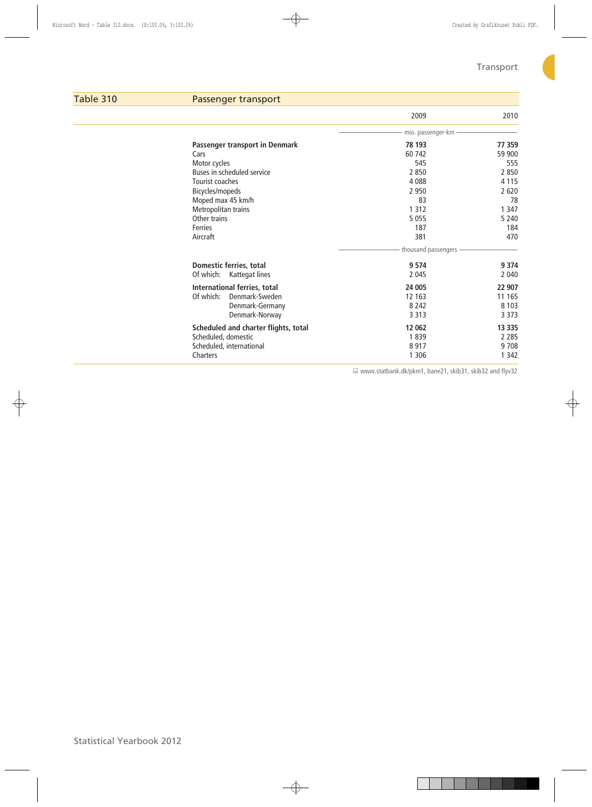# Table 310 Passenger transport 2009 2010 mio. passenger-km  **Passenger transport in Denmark 78 193 77 359** Cars 60 742 59 900 Motor cycles 545 555 Buses in scheduled service and the control of the 2 850 2 850 2 850 2 850 2 850 2 850 2 850 2 850 2 850 2 850 2 850 2 850 2 850 2 850 2 850 2 850 2 850 2 850 2 850 2 860 2 860 2 871 2 871 2 872 872 872 872 872 873 873 873 Tourist coaches and the set of the set of the set of the 4 088 4 115<br>Bicycles/mopeds 2 950 2 620 Bicycles/mopeds 2 950<br>Moped max 45 km/h 23 Moped max 45 km/h 83 78 Metropolitan trains 1 347<br>
1 347 Other trains 1 347<br>
1 347 Other trains 5 055 Other trains 5 240 Second 1 and 200 Second 1 and 200 Second 1 and 200 Second 1 and 200 Second 1 and 200 Second 1 and 200 Second 1 and 200 Second 1 and 200 Second 1 and 200 Second 1 and 200 Second 1 and 200 Second 1 and 200 Ferries 2008 - 2009 - 2009 - 2009 - 2009 - 2009 - 2009 - 2010 - 2010 - 2010 - 2010 - 2010 - 2010 - 2010 - 2010 Aircraft 381 470 thousand passengers  **Domestic ferries, total 9 574 9 374** Of which: Kattegat lines 2 045  **International ferries, total 24 005 22 907** Of which: Denmark-Sweden 12 163 11 165<br>Denmark-Germany 12 163 8 242 8 103 Denmark-Germany 8 242 8 103 Denmark-Norway  **Scheduled and charter flights, total 12 062 13 335** Scheduled, domestic and the control of the control of the control of the control of the control of the control of the control of the control of the control of the control of the control of the control of the control of the Scheduled, international 8 917 9 708 Charters 1 342 and 200 and 200 and 200 and 200 and 200 and 200 and 200 and 200 and 200 and 200 and 200 and 200

www.statbank.dk/pkm1, bane21, skib31, skib32 and flyv32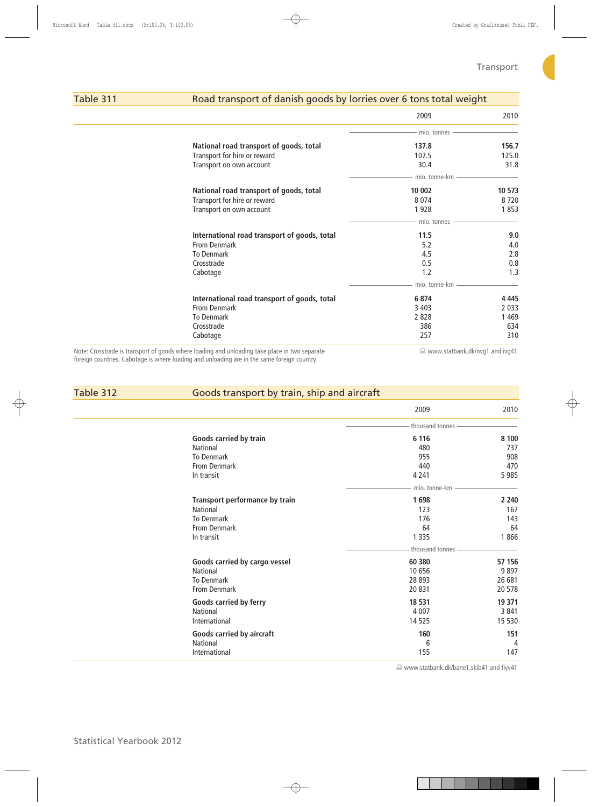# Table 311 Road transport of danish goods by lorries over 6 tons total weight

|                                              | 2009          | 2010                                |
|----------------------------------------------|---------------|-------------------------------------|
|                                              | mio. tonnes   |                                     |
| National road transport of goods, total      | 137.8         | 156.7                               |
| Transport for hire or reward                 | 107.5         | 125.0                               |
| Transport on own account                     | 30.4          | 31.8                                |
|                                              | mio. tonne-km |                                     |
| National road transport of goods, total      | 10 002        | 10 573                              |
| Transport for hire or reward                 | 8074          | 8720                                |
| Transport on own account                     | 1928          | 1853                                |
|                                              | mio. tonnes   |                                     |
| International road transport of goods, total | 11.5          | 9.0                                 |
| From Denmark                                 | 5.2           | 4.0                                 |
| <b>To Denmark</b>                            | 4.5           | 2.8                                 |
| Crosstrade                                   | 0.5           | 0.8                                 |
| Cabotage                                     | 1.2           | 1.3                                 |
|                                              | mio. tonne-km |                                     |
| International road transport of goods, total | 6874          | 4 4 4 5                             |
| From Denmark                                 | 3 4 0 3       | 2 0 3 3                             |
| <b>To Denmark</b>                            | 2828          | 1469                                |
| Crosstrade                                   | 386           | 634                                 |
| Cabotage                                     | 257           | 310                                 |
| .                                            |               | the contract of the contract of the |

Note: Crosstrade is transport of goods where loading and unloading take place in two separate foreign countries. Cabotage is where loading and unloading are in the same foreign country.

■ www.statbank.dk/nvg1 and ivg41

| Table 312 | Goods transport by train, ship and aircraft |                 |         |  |  |  |
|-----------|---------------------------------------------|-----------------|---------|--|--|--|
|           |                                             | 2009            | 2010    |  |  |  |
|           |                                             | thousand tonnes |         |  |  |  |
|           | Goods carried by train                      | 6 1 1 6         | 8 1 0 0 |  |  |  |
|           | National                                    | 480             | 737     |  |  |  |
|           | <b>To Denmark</b>                           | 955             | 908     |  |  |  |
|           | <b>From Denmark</b>                         | 440             | 470     |  |  |  |
|           | In transit                                  | 4 2 4 1         | 5985    |  |  |  |
|           |                                             | mio. tonne-km   |         |  |  |  |
|           | <b>Transport performance by train</b>       | 1698            | 2 2 4 0 |  |  |  |
|           | <b>National</b>                             | 123             | 167     |  |  |  |
|           | <b>To Denmark</b>                           | 176             | 143     |  |  |  |
|           | <b>From Denmark</b>                         | 64              | 64      |  |  |  |
|           | In transit                                  | 1 3 3 5         | 1866    |  |  |  |
|           |                                             | thousand tonnes |         |  |  |  |
|           | Goods carried by cargo vessel               | 60 380          | 57 156  |  |  |  |
|           | <b>National</b>                             | 10 656          | 9897    |  |  |  |
|           | <b>To Denmark</b>                           | 28 893          | 26 681  |  |  |  |
|           | <b>From Denmark</b>                         | 20831           | 20578   |  |  |  |
|           | Goods carried by ferry                      | 18 531          | 19 371  |  |  |  |
|           | <b>National</b>                             | 4 0 0 7         | 3 8 4 1 |  |  |  |
|           | International                               | 14 5 25         | 15 5 30 |  |  |  |
|           | Goods carried by aircraft                   | 160             | 151     |  |  |  |
|           | <b>National</b>                             | 6               | 4       |  |  |  |
|           | International                               | 155             | 147     |  |  |  |
|           |                                             |                 |         |  |  |  |

www.statbank.dk/bane1,skib41 and flyv41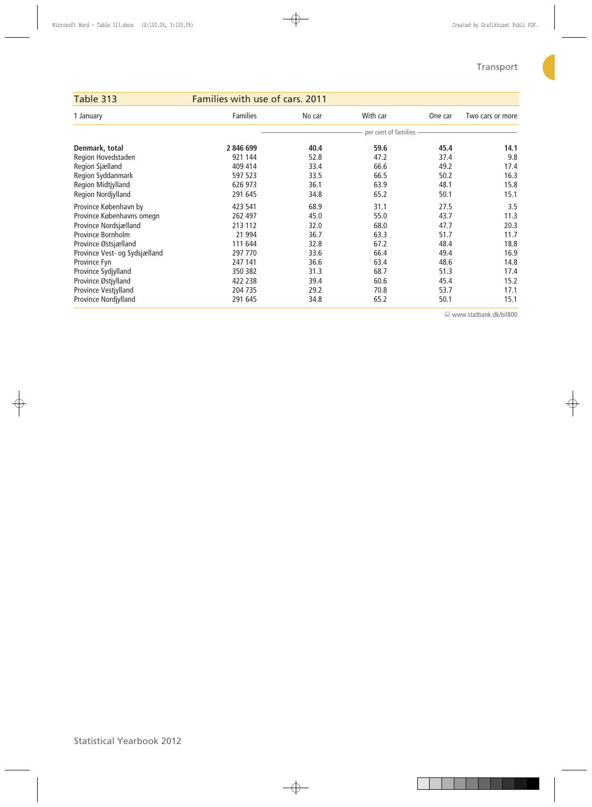C

| Table 313                     | Families with use of cars. 2011 |        |                        |         |                  |
|-------------------------------|---------------------------------|--------|------------------------|---------|------------------|
| 1 January                     | <b>Families</b>                 | No car | With car               | One car | Two cars or more |
|                               |                                 |        | per cent of families - |         |                  |
| Denmark, total                | 2 846 699                       | 40.4   | 59.6                   | 45.4    | 14.1             |
| Region Hovedstaden            | 921 144                         | 52.8   | 47.2                   | 37.4    | 9.8              |
| Region Sjælland               | 409 414                         | 33.4   | 66.6                   | 49.2    | 17.4             |
| Region Syddanmark             | 597 523                         | 33.5   | 66.5                   | 50.2    | 16.3             |
| Region Midtjylland            | 626 973                         | 36.1   | 63.9                   | 48.1    | 15.8             |
| Region Nordjylland            | 291 645                         | 34.8   | 65.2                   | 50.1    | 15.1             |
| Province København by         | 423 541                         | 68.9   | 31.1                   | 27.5    | 3.5              |
| Province Københavns omegn     | 262 497                         | 45.0   | 55.0                   | 43.7    | 11.3             |
| Province Nordsjælland         | 213 112                         | 32.0   | 68.0                   | 47.7    | 20.3             |
| Province Bornholm             | 21 994                          | 36.7   | 63.3                   | 51.7    | 11.7             |
| Province Østsjælland          | 111 644                         | 32.8   | 67.2                   | 48.4    | 18.8             |
| Province Vest- og Sydsjælland | 297 770                         | 33.6   | 66.4                   | 49.4    | 16.9             |
| Province Fyn                  | 247 141                         | 36.6   | 63.4                   | 48.6    | 14.8             |
| Province Sydjylland           | 350 382                         | 31.3   | 68.7                   | 51.3    | 17.4             |
| Province Østjylland           | 422 238                         | 39.4   | 60.6                   | 45.4    | 15.2             |
| Province Vestjylland          | 204 735                         | 29.2   | 70.8                   | 53.7    | 17.1             |
| Province Nordjylland          | 291 645                         | 34.8   | 65.2                   | 50.1    | 15.1             |

www.statbank.dk/bil800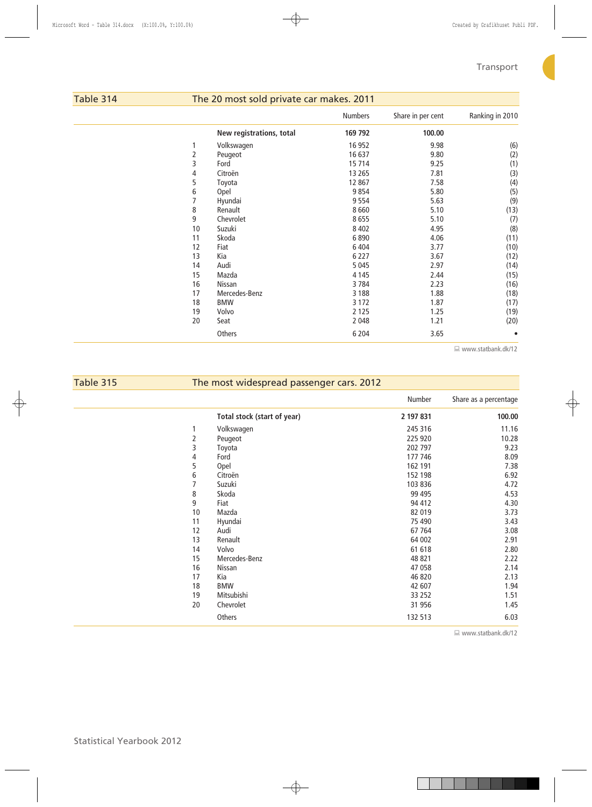C.

| Table 314 |    | The 20 most sold private car makes. 2011 |                |                   |                 |  |  |  |  |
|-----------|----|------------------------------------------|----------------|-------------------|-----------------|--|--|--|--|
|           |    |                                          | <b>Numbers</b> | Share in per cent | Ranking in 2010 |  |  |  |  |
|           |    | New registrations, total                 | 169 792        | 100.00            |                 |  |  |  |  |
|           |    | Volkswagen                               | 16 952         | 9.98              | (6)             |  |  |  |  |
|           | 2  | Peugeot                                  | 16 637         | 9.80              | (2)             |  |  |  |  |
|           | 3  | Ford                                     | 15 714         | 9.25              | (1)             |  |  |  |  |
|           | 4  | Citroën                                  | 13 2 65        | 7.81              | (3)             |  |  |  |  |
|           | 5  | Toyota                                   | 12 867         | 7.58              | (4)             |  |  |  |  |
|           | 6  | Opel                                     | 9854           | 5.80              | (5)             |  |  |  |  |
|           | 7  | Hyundai                                  | 9554           | 5.63              | (9)             |  |  |  |  |
|           | 8  | Renault                                  | 8660           | 5.10              | (13)            |  |  |  |  |
|           | 9  | Chevrolet                                | 8655           | 5.10              | (7)             |  |  |  |  |
|           | 10 | Suzuki                                   | 8 4 0 2        | 4.95              | (8)             |  |  |  |  |
|           | 11 | Skoda                                    | 6890           | 4.06              | (11)            |  |  |  |  |
|           | 12 | Fiat                                     | 6 4 0 4        | 3.77              | (10)            |  |  |  |  |
|           | 13 | Kia                                      | 6 2 2 7        | 3.67              | (12)            |  |  |  |  |
|           | 14 | Audi                                     | 5 0 4 5        | 2.97              | (14)            |  |  |  |  |
|           | 15 | Mazda                                    | 4 1 4 5        | 2.44              | (15)            |  |  |  |  |
|           | 16 | Nissan                                   | 3784           | 2.23              | (16)            |  |  |  |  |
|           | 17 | Mercedes-Benz                            | 3 1 8 8        | 1.88              | (18)            |  |  |  |  |
|           | 18 | <b>BMW</b>                               | 3 1 7 2        | 1.87              | (17)            |  |  |  |  |
|           | 19 | Volvo                                    | 2 1 2 5        | 1.25              | (19)            |  |  |  |  |
|           | 20 | Seat                                     | 2 0 4 8        | 1.21              | (20)            |  |  |  |  |
|           |    | Others                                   | 6 2 0 4        | 3.65              |                 |  |  |  |  |

www.statbank.dk/12

| Table 315 |            | The most widespread passenger cars. 2012 |           |                       |  |  |  |  |
|-----------|------------|------------------------------------------|-----------|-----------------------|--|--|--|--|
|           |            |                                          | Number    | Share as a percentage |  |  |  |  |
|           |            | Total stock (start of year)              | 2 197 831 | 100.00                |  |  |  |  |
|           | 1          | Volkswagen                               | 245 316   | 11.16                 |  |  |  |  |
|           | $\sqrt{2}$ | Peugeot                                  | 225 920   | 10.28                 |  |  |  |  |
|           | 3          | Toyota                                   | 202 797   | 9.23                  |  |  |  |  |
|           | 4          | Ford                                     | 177 746   | 8.09                  |  |  |  |  |
|           | 5          | Opel                                     | 162 191   | 7.38                  |  |  |  |  |
|           | 6          | Citroën                                  | 152 198   | 6.92                  |  |  |  |  |
|           | 7          | Suzuki                                   | 103 836   | 4.72                  |  |  |  |  |
|           | 8          | Skoda                                    | 99 4 95   | 4.53                  |  |  |  |  |
|           | 9          | Fiat                                     | 94 412    | 4.30                  |  |  |  |  |
|           | 10         | Mazda                                    | 82 019    | 3.73                  |  |  |  |  |
|           | 11         | Hyundai                                  | 75 490    | 3.43                  |  |  |  |  |
|           | 12         | Audi                                     | 67 7 64   | 3.08                  |  |  |  |  |
|           | 13         | Renault                                  | 64 002    | 2.91                  |  |  |  |  |
|           | 14         | Volvo                                    | 61 618    | 2.80                  |  |  |  |  |
|           | 15         | Mercedes-Benz                            | 48 821    | 2.22                  |  |  |  |  |
|           | 16         | Nissan                                   | 47 058    | 2.14                  |  |  |  |  |
|           | 17         | Kia                                      | 46 820    | 2.13                  |  |  |  |  |
|           | 18         | <b>BMW</b>                               | 42 607    | 1.94                  |  |  |  |  |
|           | 19         | Mitsubishi                               | 33 252    | 1.51                  |  |  |  |  |
|           | 20         | Chevrolet                                | 31 956    | 1.45                  |  |  |  |  |
|           |            | Others                                   | 132 513   | 6.03                  |  |  |  |  |

 $\Box$  www.statbank.dk/12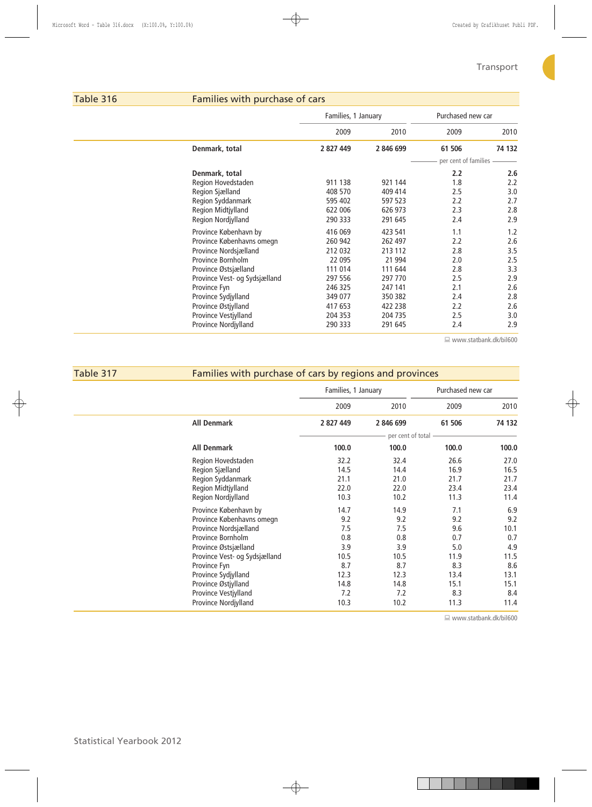# Table 316 Families with purchase of cars

|                               | Families, 1 January |           | Purchased new car    |        |
|-------------------------------|---------------------|-----------|----------------------|--------|
|                               | 2009                | 2010      | 2009                 | 2010   |
| Denmark, total                | 2 827 449           | 2 846 699 | 61 506               | 74 132 |
|                               |                     |           | per cent of families |        |
| Denmark, total                |                     |           | 2.2                  | 2.6    |
| Region Hovedstaden            | 911 138             | 921 144   | 1.8                  | 2.2    |
| Region Sjælland               | 408 570             | 409 414   | 2.5                  | 3.0    |
| Region Syddanmark             | 595 402             | 597 523   | 2.2                  | 2.7    |
| Region Midtjylland            | 622 006             | 626 973   | 2.3                  | 2.8    |
| Region Nordjylland            | 290 333             | 291 645   | 2.4                  | 2.9    |
| Province København by         | 416 069             | 423 541   | 1.1                  | 1.2    |
| Province Københavns omegn     | 260 942             | 262 497   | 2.2                  | 2.6    |
| Province Nordsjælland         | 212 032             | 213 112   | 2.8                  | 3.5    |
| Province Bornholm             | 22 095              | 21 994    | 2.0                  | 2.5    |
| Province Østsjælland          | 111 014             | 111 644   | 2.8                  | 3.3    |
| Province Vest- og Sydsjælland | 297 556             | 297 770   | 2.5                  | 2.9    |
| Province Fyn                  | 246 325             | 247 141   | 2.1                  | 2.6    |
| Province Sydjylland           | 349 077             | 350 382   | 2.4                  | 2.8    |
| Province Østjylland           | 417 653             | 422 238   | 2.2                  | 2.6    |
| Province Vestjylland          | 204 353             | 204 735   | 2.5                  | 3.0    |
| Province Nordjylland          | 290 333             | 291 645   | 2.4                  | 2.9    |
|                               |                     |           |                      |        |

www.statbank.dk/bil600

# Table 317 Families with purchase of cars by regions and provinces

|                               | Families, 1 January |                   | Purchased new car |        |  |
|-------------------------------|---------------------|-------------------|-------------------|--------|--|
|                               | 2009                | 2010              | 2009              | 2010   |  |
| <b>All Denmark</b>            | 2 827 449           | 2 846 699         | 61 506            | 74 132 |  |
|                               |                     | per cent of total |                   |        |  |
| <b>All Denmark</b>            | 100.0               | 100.0             | 100.0             | 100.0  |  |
| Region Hovedstaden            | 32.2                | 32.4              | 26.6              | 27.0   |  |
| Region Sjælland               | 14.5                | 14.4              | 16.9              | 16.5   |  |
| Region Syddanmark             | 21.1                | 21.0              | 21.7              | 21.7   |  |
| Region Midtjylland            | 22.0                | 22.0              | 23.4              | 23.4   |  |
| Region Nordjylland            | 10.3                | 10.2              | 11.3              | 11.4   |  |
| Province København by         | 14.7                | 14.9              | 7.1               | 6.9    |  |
| Province Københavns omegn     | 9.2                 | 9.2               | 9.2               | 9.2    |  |
| Province Nordsjælland         | 7.5                 | 7.5               | 9.6               | 10.1   |  |
| Province Bornholm             | 0.8                 | 0.8               | 0.7               | 0.7    |  |
| Province Østsjælland          | 3.9                 | 3.9               | 5.0               | 4.9    |  |
| Province Vest- og Sydsjælland | 10.5                | 10.5              | 11.9              | 11.5   |  |
| Province Fyn                  | 8.7                 | 8.7               | 8.3               | 8.6    |  |
| Province Sydjylland           | 12.3                | 12.3              | 13.4              | 13.1   |  |
| Province Østjylland           | 14.8                | 14.8              | 15.1              | 15.1   |  |
| Province Vestjylland          | 7.2                 | 7.2               | 8.3               | 8.4    |  |
| Province Nordjylland          | 10.3                | 10.2              | 11.3              | 11.4   |  |

www.statbank.dk/bil600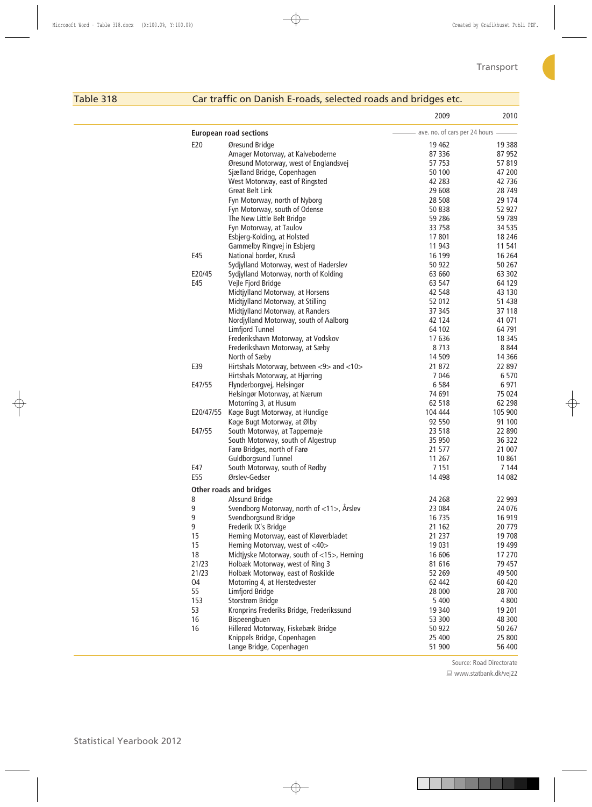# Table 318 Car traffic on Danish E-roads, selected roads and bridges etc.

|           |                                            | 2009                              | 2010     |
|-----------|--------------------------------------------|-----------------------------------|----------|
|           | <b>European road sections</b>              | - ave. no. of cars per 24 hours - |          |
| E20       | Øresund Bridge                             | 19462                             | 19 3 88  |
|           | Amager Motorway, at Kalveboderne           | 87 336                            | 87 952   |
|           | Øresund Motorway, west of Englandsvej      | 57 753                            | 57819    |
|           | Sjælland Bridge, Copenhagen                | 50 100                            | 47 200   |
|           | West Motorway, east of Ringsted            | 42 283                            | 42 736   |
|           | <b>Great Belt Link</b>                     | 29 608                            | 28 749   |
|           | Fyn Motorway, north of Nyborg              | 28 508                            | 29 1 7 4 |
|           | Fyn Motorway, south of Odense              | 50 838                            | 52 927   |
|           | The New Little Belt Bridge                 | 59 286                            | 59 789   |
|           | Fyn Motorway, at Taulov                    | 33 758                            | 34 535   |
|           | Esbjerg-Kolding, at Holsted                | 17801                             | 18 2 46  |
|           | Gammelby Ringvej in Esbjerg                | 11 943                            | 11 541   |
| E45       | National border, Kruså                     | 16 199                            | 16 2 64  |
|           |                                            |                                   |          |
|           | Sydjylland Motorway, west of Haderslev     | 50 922                            | 50 267   |
| E20/45    | Sydjylland Motorway, north of Kolding      | 63 660                            | 63 302   |
| E45       | Vejle Fjord Bridge                         | 63 547                            | 64 129   |
|           | Midtjylland Motorway, at Horsens           | 42 548                            | 43 130   |
|           | Midtjylland Motorway, at Stilling          | 52 012                            | 51 438   |
|           | Midtjylland Motorway, at Randers           | 37 345                            | 37 118   |
|           | Nordjylland Motorway, south of Aalborg     | 42 124                            | 41 071   |
|           | Limfjord Tunnel                            | 64 102                            | 64 791   |
|           | Frederikshavn Motorway, at Vodskov         | 17636                             | 18 3 45  |
|           | Frederikshavn Motorway, at Sæby            | 8713                              | 8844     |
|           | North of Sæby                              | 14 509                            | 14 3 6 6 |
| E39       | Hirtshals Motorway, between <9> and <10>   | 21 872                            | 22 897   |
|           | Hirtshals Motorway, at Hjørring            | 7046                              | 6570     |
| E47/55    | Flynderborgvej, Helsingør                  | 6584                              | 6971     |
|           | Helsingør Motorway, at Nærum               | 74 691                            | 75 0 24  |
|           | Motorring 3, at Husum                      | 62 518                            | 62 298   |
| E20/47/55 | Køge Bugt Motorway, at Hundige             | 104 444                           | 105 900  |
|           | Køge Bugt Motorway, at Ølby                | 92 550                            | 91 100   |
| E47/55    | South Motorway, at Tappernøje              | 23 518                            | 22 890   |
|           | South Motorway, south of Algestrup         | 35 950                            | 36 322   |
|           | Farø Bridges, north of Farø                | 21 577                            | 21 007   |
|           | <b>Guldborgsund Tunnel</b>                 | 11 267                            | 10861    |
| E47       | South Motorway, south of Rødby             | 7151                              | 7 144    |
| E55       | Ørslev-Gedser                              | 14 4 98                           | 14 082   |
|           |                                            |                                   |          |
|           | Other roads and bridges                    |                                   |          |
| 8         | Alssund Bridge                             | 24 268                            | 22 993   |
| 9         | Svendborg Motorway, north of <11>, Årslev  | 23 084                            | 24 0 76  |
| 9         | Svendborgsund Bridge                       | 16 7 35                           | 16 919   |
| 9         | Frederik IX's Bridge                       | 21 162                            | 20 779   |
| 15        | Herning Motorway, east of Kløverbladet     | 21 2 3 7                          | 19 708   |
| 15        | Herning Motorway, west of <40>             | 19 0 31                           | 19 4 99  |
| 18        | Midtjyske Motorway, south of <15>, Herning | 16 606                            | 17 270   |
| 21/23     | Holbæk Motorway, west of Ring 3            | 81 616                            | 79 457   |
| 21/23     | Holbæk Motorway, east of Roskilde          | 52 269                            | 49 500   |
| 04        | Motorring 4, at Herstedvester              | 62 442                            | 60 420   |
| 55        | Limfjord Bridge                            | 28 000                            | 28 700   |
| 153       | Storstrøm Bridge                           | 5 4 0 0                           | 4 8 0 0  |
| 53        | Kronprins Frederiks Bridge, Frederikssund  | 19 340                            | 19 201   |
| 16        | Bispeengbuen                               | 53 300                            | 48 300   |
| 16        | Hillerød Motorway, Fiskebæk Bridge         | 50 922                            | 50 267   |
|           | Knippels Bridge, Copenhagen                | 25 400                            | 25 800   |
|           | Lange Bridge, Copenhagen                   | 51 900                            | 56 400   |
|           |                                            |                                   |          |

Source: Road Directorate

■ www.statbank.dk/vej22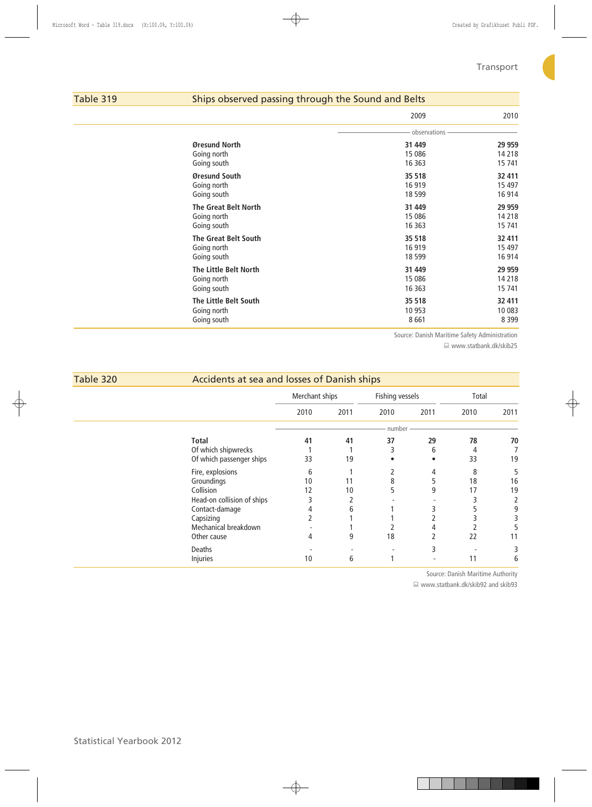# Table 319 Ships observed passing through the Sound and Belts

|                             | 2009         | 2010    |
|-----------------------------|--------------|---------|
|                             | observations |         |
| Øresund North               | 31 449       | 29 959  |
| Going north                 | 15 0 86      | 14 218  |
| Going south                 | 16 3 63      | 15 741  |
| Øresund South               | 35 518       | 32 411  |
| Going north                 | 16 919       | 15 4 97 |
| Going south                 | 18 5 99      | 16 914  |
| <b>The Great Belt North</b> | 31 449       | 29 959  |
| Going north                 | 15 0 86      | 14 218  |
| Going south                 | 16 3 63      | 15 741  |
| <b>The Great Belt South</b> | 35 518       | 32 411  |
| Going north                 | 16 919       | 15 4 97 |
| Going south                 | 18 5 99      | 16 914  |
| The Little Belt North       | 31 449       | 29 959  |
| Going north                 | 15 0 86      | 14 218  |
| Going south                 | 16 3 63      | 15 741  |
| The Little Belt South       | 35 518       | 32 411  |
| Going north                 | 10 953       | 10 083  |
| Going south                 | 8661         | 8 3 9 9 |

Source: Danish Maritime Safety Administration

■ www.statbank.dk/skib25

| Table 320 | Accidents at sea and losses of Danish ships |                |      |                 |      |       |      |
|-----------|---------------------------------------------|----------------|------|-----------------|------|-------|------|
|           |                                             | Merchant ships |      | Fishing vessels |      | Total |      |
|           |                                             | 2010           | 2011 | 2010            | 2011 | 2010  | 2011 |
|           |                                             |                |      | number          |      |       |      |
|           | <b>Total</b>                                | 41             | 41   | 37              | 29   | 78    | 70   |
|           | Of which shipwrecks                         |                |      | 3               | 6    | 4     |      |
|           | Of which passenger ships                    | 33             | 19   |                 |      | 33    | 19   |
|           | Fire, explosions                            | 6              |      |                 | 4    | 8     |      |
|           | Groundings                                  | 10             | 11   | 8               | 5    | 18    | 16   |
|           | Collision                                   | 12             | 10   | 5               | 9    | 17    | 19   |
|           | Head-on collision of ships                  | 3              |      |                 |      |       |      |
|           | Contact-damage                              |                | 6    |                 |      |       |      |
|           | Capsizing                                   |                |      |                 |      |       |      |
|           | Mechanical breakdown                        |                |      |                 | 4    |       |      |
|           | Other cause                                 | 4              | 9    | 18              |      | 22    | 11   |
|           | Deaths                                      |                |      |                 | 3    |       |      |
|           | Injuries                                    | 10             | 6    |                 |      | 11    | b    |

Source: Danish Maritime Authority

■ www.statbank.dk/skib92 and skib93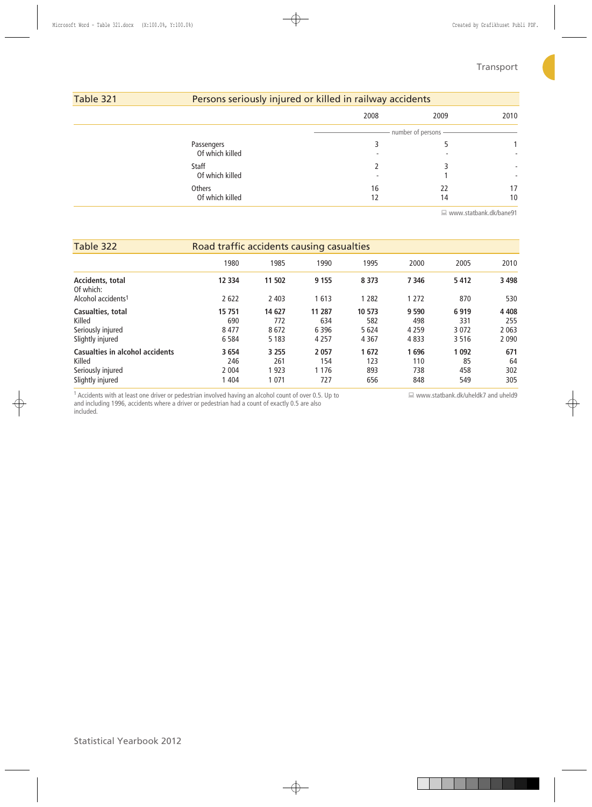# Table 321 Persons seriously injured or killed in railway accidents

| , ,                           |          | -                   |                               |  |  |  |  |
|-------------------------------|----------|---------------------|-------------------------------|--|--|--|--|
|                               | 2008     | 2009                | 2010                          |  |  |  |  |
|                               |          | number of persons - |                               |  |  |  |  |
| Passengers<br>Of which killed | ۰        | -                   | ۰                             |  |  |  |  |
| Staff<br>Of which killed      | ۰        |                     | ٠<br>$\overline{\phantom{a}}$ |  |  |  |  |
| Others<br>Of which killed     | 16<br>12 | 22<br>14            | 17<br>10                      |  |  |  |  |

www.statbank.dk/bane91

| Table 322                       | Road traffic accidents causing casualties |         |         |         |         |         |         |
|---------------------------------|-------------------------------------------|---------|---------|---------|---------|---------|---------|
|                                 | 1980                                      | 1985    | 1990    | 1995    | 2000    | 2005    | 2010    |
| Accidents, total<br>Of which:   | 12 3 34                                   | 11 502  | 9 1 5 5 | 8 3 7 3 | 7 3 4 6 | 5412    | 3 4 9 8 |
| Alcohol accidents <sup>1</sup>  | 2622                                      | 2 4 0 3 | 1613    | 1 2 8 2 | 1 2 7 2 | 870     | 530     |
| Casualties, total               | 15 751                                    | 14 627  | 11 287  | 10 573  | 9 5 9 0 | 6919    | 4 4 0 8 |
| Killed                          | 690                                       | 772     | 634     | 582     | 498     | 331     | 255     |
| Seriously injured               | 8477                                      | 8672    | 6 3 9 6 | 5 6 2 4 | 4 2 5 9 | 3 0 7 2 | 2 0 6 3 |
| Slightly injured                | 6 5 8 4                                   | 5 1 8 3 | 4 2 5 7 | 4 3 6 7 | 4833    | 3516    | 2 0 9 0 |
| Casualties in alcohol accidents | 3 6 5 4                                   | 3 2 5 5 | 2 0 5 7 | 1672    | 696     | 1 0 9 2 | 671     |
| Killed                          | 246                                       | 261     | 154     | 123     | 110     | 85      | 64      |
| Seriously injured               | 2 0 0 4                                   | 1923    | 1 1 7 6 | 893     | 738     | 458     | 302     |
| Slightly injured                | 1 4 0 4                                   | 1 0 7 1 | 727     | 656     | 848     | 549     | 305     |

 $1$  Accidents with at least one driver or pedestrian involved having an alcohol count of over 0.5. Up to and including 1996, accidents where a driver or pedestrian had a count of exactly 0.5 are also included.

www.statbank.dk/uheldk7 and uheld9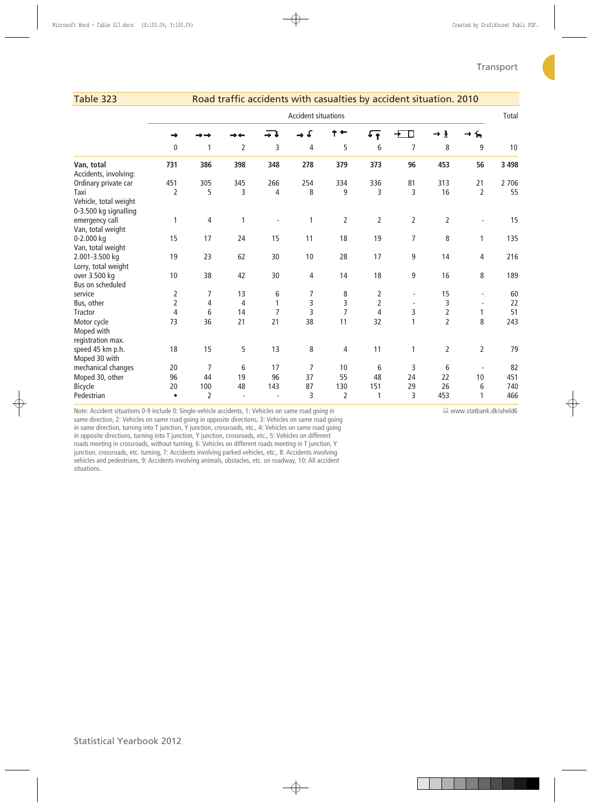| Table 323                                      |                |                |                |                |                            |                |                | Road traffic accidents with casualties by accident situation. 2010 |                |                          |         |
|------------------------------------------------|----------------|----------------|----------------|----------------|----------------------------|----------------|----------------|--------------------------------------------------------------------|----------------|--------------------------|---------|
|                                                |                |                |                |                | <b>Accident situations</b> |                |                |                                                                    |                |                          | Total   |
|                                                |                |                |                |                |                            |                | small∓         | П                                                                  | ł<br>÷         | π                        |         |
|                                                | 0              | 1              | $\overline{2}$ | 3              | 4                          | 5              | 6              | $\overline{7}$                                                     | 8              | 9                        | 10      |
| Van, total<br>Accidents, involving:            | 731            | 386            | 398            | 348            | 278                        | 379            | 373            | 96                                                                 | 453            | 56                       | 3 4 9 8 |
| Ordinary private car                           | 451            | 305            | 345            | 266            | 254                        | 334            | 336            | 81                                                                 | 313            | 21                       | 2 7 0 6 |
| Taxi                                           | 2              | 5              | 3              | 4              | 8                          | 9              | 3              | 3                                                                  | 16             | $\overline{2}$           | 55      |
| Vehicle, total weight<br>0-3.500 kg signalling |                |                |                |                |                            |                |                |                                                                    |                |                          |         |
| emergency call                                 | 1              | 4              | 1              |                | 1                          | $\overline{2}$ | $\overline{2}$ | 2                                                                  | $\overline{2}$ | L,                       | 15      |
| Van, total weight                              |                |                |                |                |                            |                |                |                                                                    |                |                          |         |
| 0-2.000 kg                                     | 15             | 17             | 24             | 15             | 11                         | 18             | 19             | $\overline{7}$                                                     | 8              | 1                        | 135     |
| Van, total weight                              |                |                |                |                |                            |                |                |                                                                    |                |                          |         |
| 2.001-3.500 kg                                 | 19             | 23             | 62             | 30             | 10                         | 28             | 17             | 9                                                                  | 14             | 4                        | 216     |
| Lorry, total weight                            |                |                |                |                |                            |                |                |                                                                    |                |                          |         |
| over 3.500 kg                                  | 10             | 38             | 42             | 30             | 4                          | 14             | 18             | 9                                                                  | 16             | 8                        | 189     |
| Bus on scheduled                               |                |                |                |                |                            |                |                |                                                                    |                |                          |         |
| service                                        | 2              | 7              | 13             | 6              | 7                          | 8              | 2              |                                                                    | 15             | $\overline{\phantom{a}}$ | 60      |
| Bus, other                                     | $\overline{2}$ | 4              | 4              | 1              | 3                          | 3              | $\overline{2}$ |                                                                    | 3              | $\overline{\phantom{a}}$ | 22      |
| <b>Tractor</b>                                 | 4              | 6              | 14             | $\overline{7}$ | 3                          | $\overline{7}$ | $\overline{4}$ | 3                                                                  | $\mathbf 2$    | 1                        | 51      |
| Motor cycle                                    | 73             | 36             | 21             | 21             | 38                         | 11             | 32             | 1                                                                  | $\overline{2}$ | 8                        | 243     |
| Moped with                                     |                |                |                |                |                            |                |                |                                                                    |                |                          |         |
| registration max.                              |                |                |                |                |                            |                |                |                                                                    |                |                          |         |
| speed 45 km p.h.                               | 18             | 15             | 5              | 13             | 8                          | 4              | 11             | 1                                                                  | 2              | $\overline{2}$           | 79      |
| Moped 30 with                                  |                |                |                |                |                            |                |                |                                                                    |                |                          |         |
| mechanical changes                             | 20             | $\overline{7}$ | 6              | 17             | $\overline{7}$             | 10             | 6              | 3                                                                  | 6              | $\overline{\phantom{a}}$ | 82      |
| Moped 30, other                                | 96             | 44             | 19             | 96             | 37                         | 55             | 48             | 24                                                                 | 22             | 10                       | 451     |
| Bicycle                                        | 20             | 100            | 48             | 143            | 87                         | 130            | 151            | 29                                                                 | 26             | 6                        | 740     |
| Pedestrian                                     | $\bullet$      | $\overline{2}$ |                |                | 3                          | $\overline{2}$ | 1              | 3                                                                  | 453            | 1                        | 466     |

Note: Accident situations 0-9 include 0: Single-vehicle accidents, 1: Vehicles on same road going in

www.statbank.dk/uheld6

same direction, 2: Vehicles on same road going in opposite directions, 3: Vehicles on same road going in same direction, turning into T junction, Y junction, crossroads, etc., 4: Vehicles on same road going in opposite directions, turning into T junction, Y junction, crossroads, etc., 5: Vehicles on different roads meeting in crossroads, without turning, 6: Vehicles on different roads meeting in T junction, Y junction, crossroads, etc. turning, 7: Accidents involving parked vehicles, etc., 8: Accidents involving vehicles and pedestrians, 9: Accidents involving animals, obstacles, etc. on roadway, 10: All accident situations.